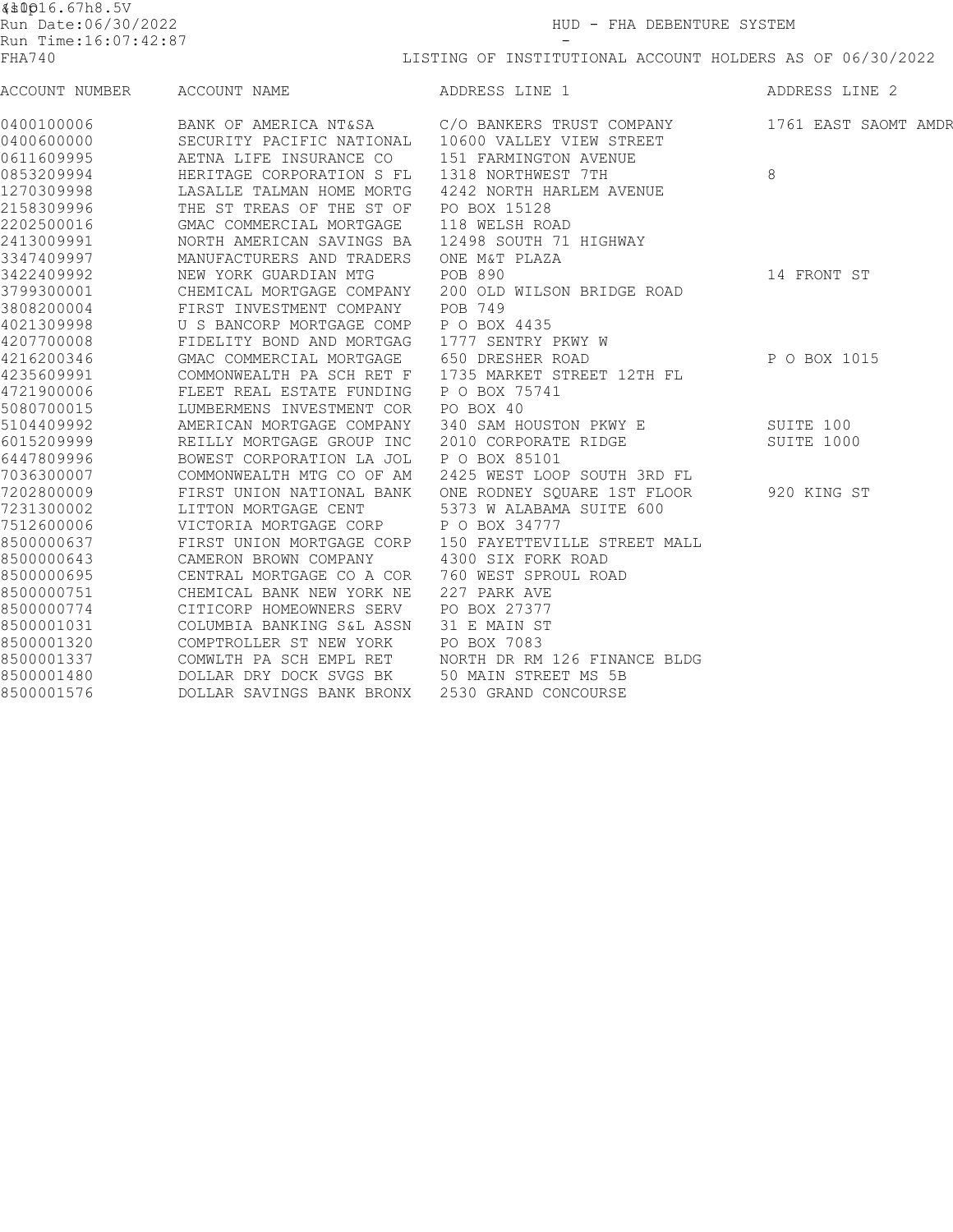| <b>《 \$0016.67h8.5V</b>                     |                           |                              |                      |  |  |
|---------------------------------------------|---------------------------|------------------------------|----------------------|--|--|
| Run Date:06/30/2022<br>Run Time:16:07:42:87 |                           | HUD - FHA DEBENTURE SYSTEM   |                      |  |  |
|                                             |                           |                              |                      |  |  |
| ACCOUNT NUMBER                              | ACCOUNT NAME              | ADDRESS LINE 1               | ADDRESS LINE 2       |  |  |
| 0400100006                                  | BANK OF AMERICA NT&SA     | C/O BANKERS TRUST COMPANY    | 1761 EAST SAOMT AMDR |  |  |
| 0400600000                                  | SECURITY PACIFIC NATIONAL | 10600 VALLEY VIEW STREET     |                      |  |  |
| 0611609995                                  | AETNA LIFE INSURANCE CO   | 151 FARMINGTON AVENUE        |                      |  |  |
| 0853209994                                  | HERITAGE CORPORATION S FL | 1318 NORTHWEST 7TH           | 8                    |  |  |
| 1270309998                                  | LASALLE TALMAN HOME MORTG | 4242 NORTH HARLEM AVENUE     |                      |  |  |
| 2158309996                                  | THE ST TREAS OF THE ST OF | PO BOX 15128                 |                      |  |  |
| 2202500016                                  | GMAC COMMERCIAL MORTGAGE  | 118 WELSH ROAD               |                      |  |  |
| 2413009991                                  | NORTH AMERICAN SAVINGS BA | 12498 SOUTH 71 HIGHWAY       |                      |  |  |
| 3347409997                                  | MANUFACTURERS AND TRADERS | ONE M&T PLAZA                |                      |  |  |
| 3422409992                                  | NEW YORK GUARDIAN MTG     | POB 890                      | 14 FRONT ST          |  |  |
| 3799300001                                  | CHEMICAL MORTGAGE COMPANY | 200 OLD WILSON BRIDGE ROAD   |                      |  |  |
| 3808200004                                  | FIRST INVESTMENT COMPANY  | POB 749                      |                      |  |  |
| 4021309998                                  | U S BANCORP MORTGAGE COMP | P O BOX 4435                 |                      |  |  |
| 4207700008                                  | FIDELITY BOND AND MORTGAG | 1777 SENTRY PKWY W           |                      |  |  |
| 4216200346                                  | GMAC COMMERCIAL MORTGAGE  | 650 DRESHER ROAD             | P O BOX 1015         |  |  |
| 4235609991                                  | COMMONWEALTH PA SCH RET F | 1735 MARKET STREET 12TH FL   |                      |  |  |
| 4721900006                                  | FLEET REAL ESTATE FUNDING | P O BOX 75741                |                      |  |  |
| 5080700015                                  | LUMBERMENS INVESTMENT COR | PO BOX 40                    |                      |  |  |
| 5104409992                                  | AMERICAN MORTGAGE COMPANY | 340 SAM HOUSTON PKWY E       | SUITE 100            |  |  |
| 6015209999                                  | REILLY MORTGAGE GROUP INC | 2010 CORPORATE RIDGE         | SUITE 1000           |  |  |
| 6447809996                                  | BOWEST CORPORATION LA JOL | P O BOX 85101                |                      |  |  |
| 7036300007                                  | COMMONWEALTH MTG CO OF AM | 2425 WEST LOOP SOUTH 3RD FL  |                      |  |  |
| 7202800009                                  | FIRST UNION NATIONAL BANK | ONE RODNEY SQUARE 1ST FLOOR  | 920 KING ST          |  |  |
| 7231300002                                  | LITTON MORTGAGE CENT      | 5373 W ALABAMA SUITE 600     |                      |  |  |
| 7512600006                                  | VICTORIA MORTGAGE CORP    | P O BOX 34777                |                      |  |  |
| 8500000637                                  | FIRST UNION MORTGAGE CORP | 150 FAYETTEVILLE STREET MALL |                      |  |  |
| 8500000643                                  | CAMERON BROWN COMPANY     | 4300 SIX FORK ROAD           |                      |  |  |
| 8500000695                                  | CENTRAL MORTGAGE CO A COR | 760 WEST SPROUL ROAD         |                      |  |  |
| 8500000751                                  | CHEMICAL BANK NEW YORK NE | 227 PARK AVE                 |                      |  |  |
| 8500000774                                  | CITICORP HOMEOWNERS SERV  | PO BOX 27377                 |                      |  |  |
| 8500001031                                  | COLUMBIA BANKING S&L ASSN | 31 E MAIN ST                 |                      |  |  |
| 8500001320                                  | COMPTROLLER ST NEW YORK   | PO BOX 7083                  |                      |  |  |
| 8500001337                                  | COMWLTH PA SCH EMPL RET   | NORTH DR RM 126 FINANCE BLDG |                      |  |  |
| 8500001480                                  | DOLLAR DRY DOCK SVGS BK   | 50 MAIN STREET MS 5B         |                      |  |  |
| 8500001576                                  | DOLLAR SAVINGS BANK BRONX | 2530 GRAND CONCOURSE         |                      |  |  |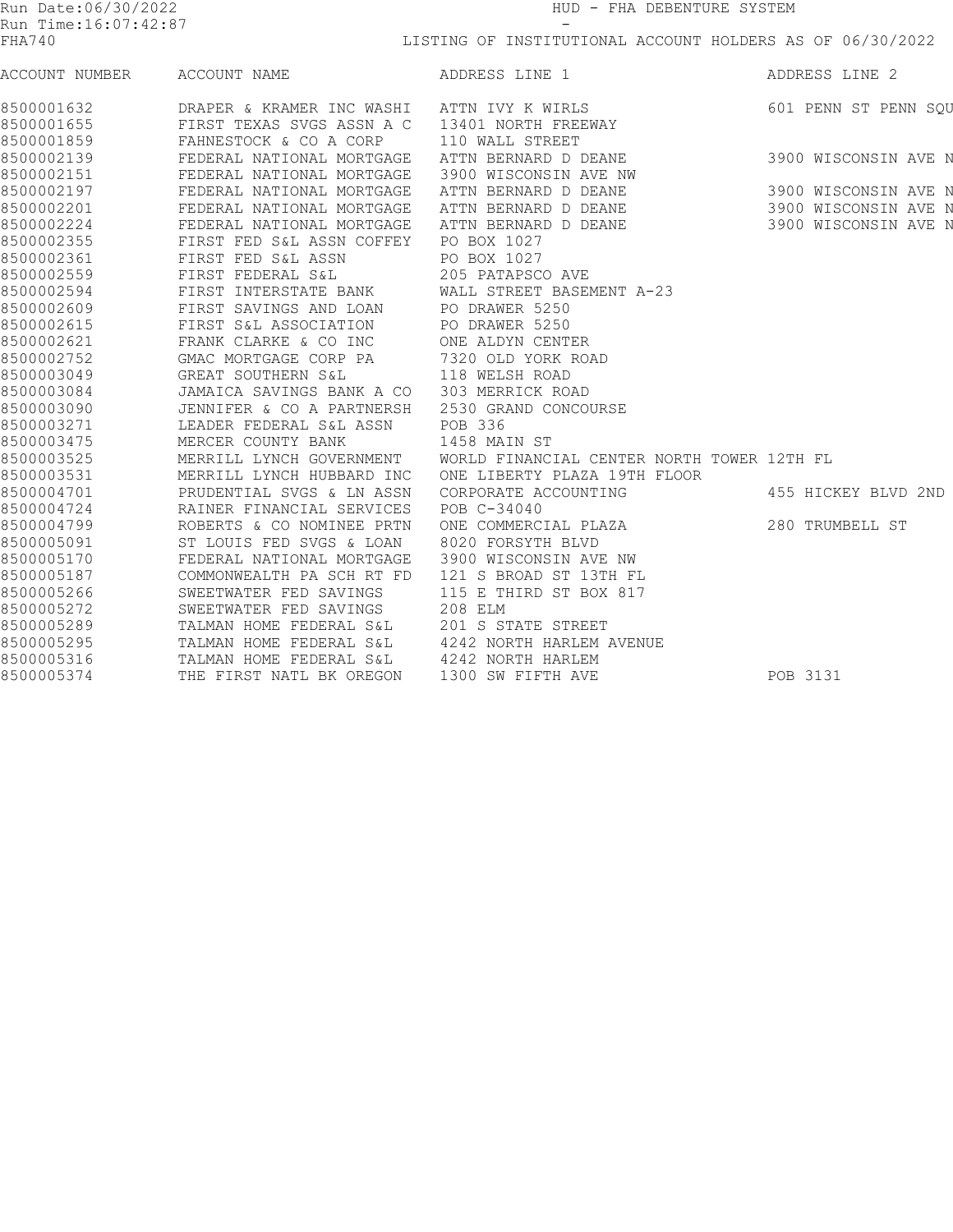| Run Date:06/30/2022<br>Run Time:16:07:42:87 |                           | HUD - FHA DEBENTURE SYSTEM                                |                      |  |
|---------------------------------------------|---------------------------|-----------------------------------------------------------|----------------------|--|
|                                             |                           |                                                           |                      |  |
| FHA740                                      |                           | LISTING OF INSTITUTIONAL ACCOUNT HOLDERS AS OF 06/30/2022 |                      |  |
| ACCOUNT NUMBER                              | ACCOUNT NAME              | ADDRESS LINE 1                                            | ADDRESS LINE 2       |  |
| 8500001632                                  | DRAPER & KRAMER INC WASHI | ATTN IVY K WIRLS                                          | 601 PENN ST PENN SQU |  |
| 8500001655                                  | FIRST TEXAS SVGS ASSN A C | 13401 NORTH FREEWAY                                       |                      |  |
| 8500001859                                  | FAHNESTOCK & CO A CORP    | 110 WALL STREET                                           |                      |  |
| 8500002139                                  | FEDERAL NATIONAL MORTGAGE | ATTN BERNARD D DEANE                                      | 3900 WISCONSIN AVE N |  |
| 8500002151                                  | FEDERAL NATIONAL MORTGAGE | 3900 WISCONSIN AVE NW                                     |                      |  |
| 8500002197                                  | FEDERAL NATIONAL MORTGAGE | ATTN BERNARD D DEANE                                      | 3900 WISCONSIN AVE N |  |
| 8500002201                                  | FEDERAL NATIONAL MORTGAGE | ATTN BERNARD D DEANE                                      | 3900 WISCONSIN AVE N |  |
| 8500002224                                  | FEDERAL NATIONAL MORTGAGE | ATTN BERNARD D DEANE                                      | 3900 WISCONSIN AVE N |  |
| 8500002355                                  | FIRST FED S&L ASSN COFFEY | PO BOX 1027                                               |                      |  |
| 8500002361                                  | FIRST FED S&L ASSN        | PO BOX 1027                                               |                      |  |
| 8500002559                                  | FIRST FEDERAL S&L         | 205 PATAPSCO AVE                                          |                      |  |
| 8500002594                                  | FIRST INTERSTATE BANK     | WALL STREET BASEMENT A-23                                 |                      |  |
| 8500002609                                  | FIRST SAVINGS AND LOAN    | PO DRAWER 5250                                            |                      |  |
| 8500002615                                  | FIRST S&L ASSOCIATION     | PO DRAWER 5250                                            |                      |  |
| 8500002621                                  | FRANK CLARKE & CO INC     | ONE ALDYN CENTER                                          |                      |  |
| 8500002752                                  | GMAC MORTGAGE CORP PA     | 7320 OLD YORK ROAD                                        |                      |  |
| 8500003049                                  | GREAT SOUTHERN S&L        | 118 WELSH ROAD                                            |                      |  |
| 8500003084                                  | JAMAICA SAVINGS BANK A CO | 303 MERRICK ROAD                                          |                      |  |
| 8500003090                                  | JENNIFER & CO A PARTNERSH | 2530 GRAND CONCOURSE                                      |                      |  |
| 8500003271                                  | LEADER FEDERAL S&L ASSN   | POB 336                                                   |                      |  |
| 8500003475                                  | MERCER COUNTY BANK        | 1458 MAIN ST                                              |                      |  |
| 8500003525                                  | MERRILL LYNCH GOVERNMENT  | WORLD FINANCIAL CENTER NORTH TOWER 12TH FL                |                      |  |
| 8500003531                                  | MERRILL LYNCH HUBBARD INC | ONE LIBERTY PLAZA 19TH FLOOR                              |                      |  |
| 8500004701                                  | PRUDENTIAL SVGS & LN ASSN | CORPORATE ACCOUNTING                                      | 455 HICKEY BLVD 2ND  |  |
| 8500004724                                  | RAINER FINANCIAL SERVICES | POB C-34040                                               |                      |  |
| 8500004799                                  | ROBERTS & CO NOMINEE PRTN | ONE COMMERCIAL PLAZA                                      | 280 TRUMBELL ST      |  |
| 8500005091                                  | ST LOUIS FED SVGS & LOAN  | 8020 FORSYTH BLVD                                         |                      |  |
| 8500005170                                  | FEDERAL NATIONAL MORTGAGE | 3900 WISCONSIN AVE NW                                     |                      |  |
| 8500005187                                  | COMMONWEALTH PA SCH RT FD | 121 S BROAD ST 13TH FL                                    |                      |  |
| 8500005266                                  | SWEETWATER FED SAVINGS    | 115 E THIRD ST BOX 817                                    |                      |  |
| 8500005272                                  | SWEETWATER FED SAVINGS    | 208 ELM                                                   |                      |  |
| 8500005289                                  | TALMAN HOME FEDERAL S&L   | 201 S STATE STREET                                        |                      |  |
| 8500005295                                  | TALMAN HOME FEDERAL S&L   | 4242 NORTH HARLEM AVENUE                                  |                      |  |
| 8500005316                                  | TALMAN HOME FEDERAL S&L   | 4242 NORTH HARLEM                                         |                      |  |
| 8500005374                                  | THE FIRST NATL BK OREGON  | 1300 SW FIFTH AVE                                         | POB 3131             |  |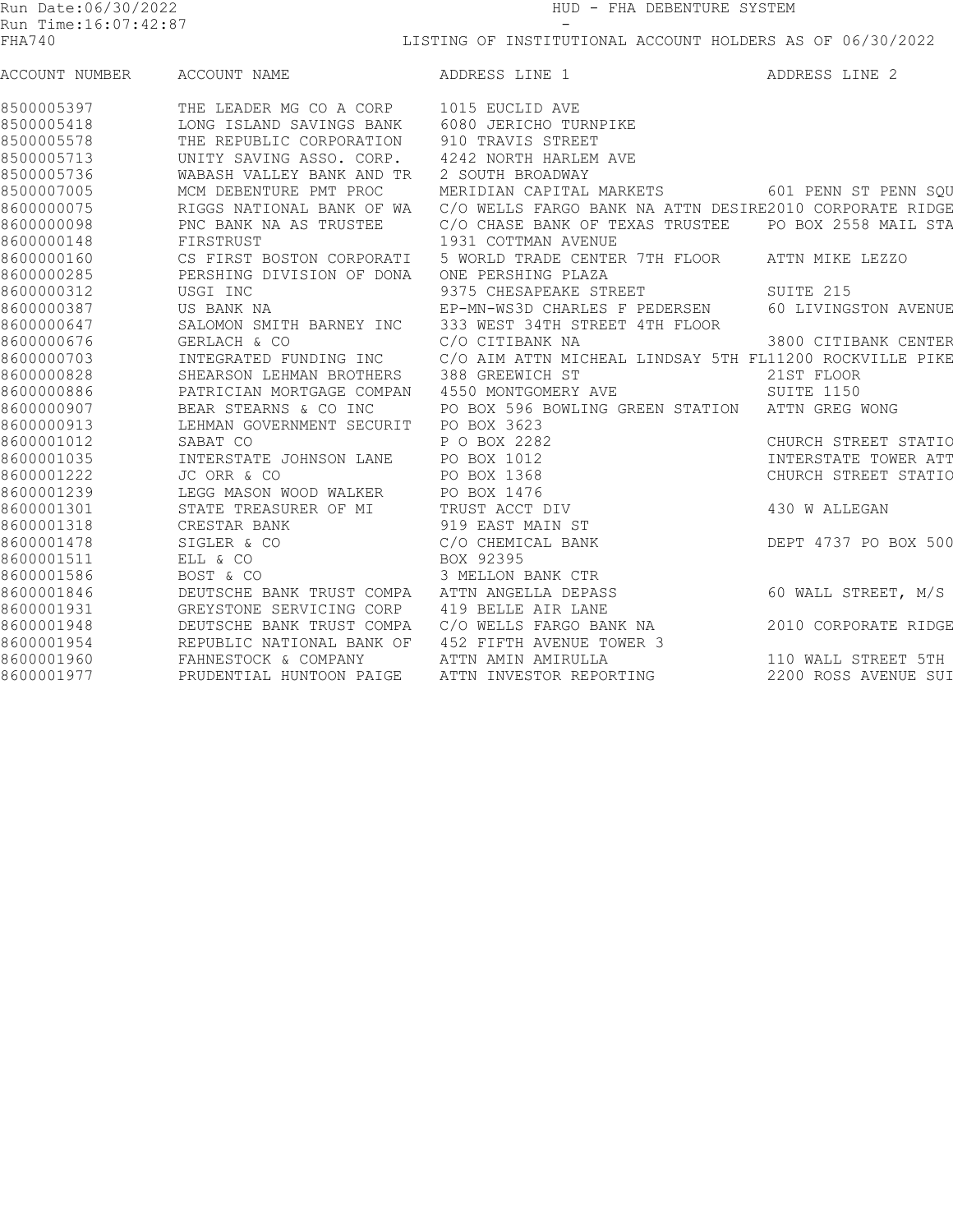| Run Date:06/30/2022<br>Run Time: 16:07: 42:87 |                           | HUD - FHA DEBENTURE SYSTEM<br>-<br>LISTING OF INSTITUTIONAL ACCOUNT HOLDERS AS OF 06/30/2022 |                      |  |  |
|-----------------------------------------------|---------------------------|----------------------------------------------------------------------------------------------|----------------------|--|--|
|                                               |                           |                                                                                              |                      |  |  |
| ACCOUNT NUMBER                                | ACCOUNT NAME              | ADDRESS LINE 1                                                                               | ADDRESS LINE 2       |  |  |
| 8500005397                                    | THE LEADER MG CO A CORP   | 1015 EUCLID AVE                                                                              |                      |  |  |
| 8500005418                                    | LONG ISLAND SAVINGS BANK  | 6080 JERICHO TURNPIKE                                                                        |                      |  |  |
| 8500005578                                    | THE REPUBLIC CORPORATION  | 910 TRAVIS STREET                                                                            |                      |  |  |
| 8500005713                                    | UNITY SAVING ASSO. CORP.  | 4242 NORTH HARLEM AVE                                                                        |                      |  |  |
| 8500005736                                    | WABASH VALLEY BANK AND TR | 2 SOUTH BROADWAY                                                                             |                      |  |  |
| 8500007005                                    | MCM DEBENTURE PMT PROC    | MERIDIAN CAPITAL MARKETS                                                                     | 601 PENN ST PENN SOU |  |  |
| 8600000075                                    | RIGGS NATIONAL BANK OF WA | C/O WELLS FARGO BANK NA ATTN DESIRE2010 CORPORATE RIDGE                                      |                      |  |  |
| 8600000098                                    | PNC BANK NA AS TRUSTEE    | C/O CHASE BANK OF TEXAS TRUSTEE                                                              | PO BOX 2558 MAIL STA |  |  |
| 8600000148                                    | FIRSTRUST                 | 1931 COTTMAN AVENUE                                                                          |                      |  |  |
| 8600000160                                    | CS FIRST BOSTON CORPORATI | 5 WORLD TRADE CENTER 7TH FLOOR                                                               | ATTN MIKE LEZZO      |  |  |
| 8600000285                                    | PERSHING DIVISION OF DONA | ONE PERSHING PLAZA                                                                           |                      |  |  |
| 8600000312                                    | USGI INC                  | 9375 CHESAPEAKE STREET                                                                       | SUITE 215            |  |  |
| 8600000387                                    | US BANK NA                | EP-MN-WS3D CHARLES F PEDERSEN                                                                | 60 LIVINGSTON AVENUE |  |  |
| 8600000647                                    | SALOMON SMITH BARNEY INC  | 333 WEST 34TH STREET 4TH FLOOR                                                               |                      |  |  |
| 8600000676                                    | GERLACH & CO              | C/O CITIBANK NA                                                                              | 3800 CITIBANK CENTER |  |  |
| 8600000703                                    | INTEGRATED FUNDING INC    | C/O AIM ATTN MICHEAL LINDSAY 5TH FL11200 ROCKVILLE PIKE                                      |                      |  |  |
| 8600000828                                    | SHEARSON LEHMAN BROTHERS  | 388 GREEWICH ST                                                                              | 21ST FLOOR           |  |  |
| 8600000886                                    | PATRICIAN MORTGAGE COMPAN | 4550 MONTGOMERY AVE                                                                          | SUITE 1150           |  |  |
| 8600000907                                    | BEAR STEARNS & CO INC     | PO BOX 596 BOWLING GREEN STATION                                                             | ATTN GREG WONG       |  |  |
| 8600000913                                    | LEHMAN GOVERNMENT SECURIT | PO BOX 3623                                                                                  |                      |  |  |
| 8600001012                                    | SABAT CO                  | P O BOX 2282                                                                                 | CHURCH STREET STATIO |  |  |
| 8600001035                                    | INTERSTATE JOHNSON LANE   | PO BOX 1012                                                                                  | INTERSTATE TOWER ATT |  |  |
| 8600001222                                    | JC ORR & CO               | PO BOX 1368                                                                                  | CHURCH STREET STATIO |  |  |
| 8600001239                                    | LEGG MASON WOOD WALKER    | PO BOX 1476                                                                                  |                      |  |  |
| 8600001301                                    | STATE TREASURER OF MI     | TRUST ACCT DIV                                                                               | 430 W ALLEGAN        |  |  |
| 8600001318                                    | CRESTAR BANK              | 919 EAST MAIN ST                                                                             |                      |  |  |
| 8600001478                                    | SIGLER & CO               | C/O CHEMICAL BANK                                                                            | DEPT 4737 PO BOX 500 |  |  |
| 8600001511                                    | ELL & CO                  | BOX 92395                                                                                    |                      |  |  |
| 8600001586                                    | BOST & CO                 | 3 MELLON BANK CTR                                                                            |                      |  |  |
| 8600001846                                    | DEUTSCHE BANK TRUST COMPA | ATTN ANGELLA DEPASS                                                                          | 60 WALL STREET, M/S  |  |  |
| 8600001931                                    | GREYSTONE SERVICING CORP  | 419 BELLE AIR LANE                                                                           |                      |  |  |
| 8600001948                                    | DEUTSCHE BANK TRUST COMPA | C/O WELLS FARGO BANK NA                                                                      | 2010 CORPORATE RIDGE |  |  |
| 8600001954                                    | REPUBLIC NATIONAL BANK OF | 452 FIFTH AVENUE TOWER 3                                                                     |                      |  |  |
| 8600001960                                    | FAHNESTOCK & COMPANY      | ATTN AMIN AMIRULLA                                                                           | 110 WALL STREET 5TH  |  |  |
| 8600001977                                    | PRUDENTIAL HUNTOON PAIGE  | ATTN INVESTOR REPORTING                                                                      | 2200 ROSS AVENUE SUI |  |  |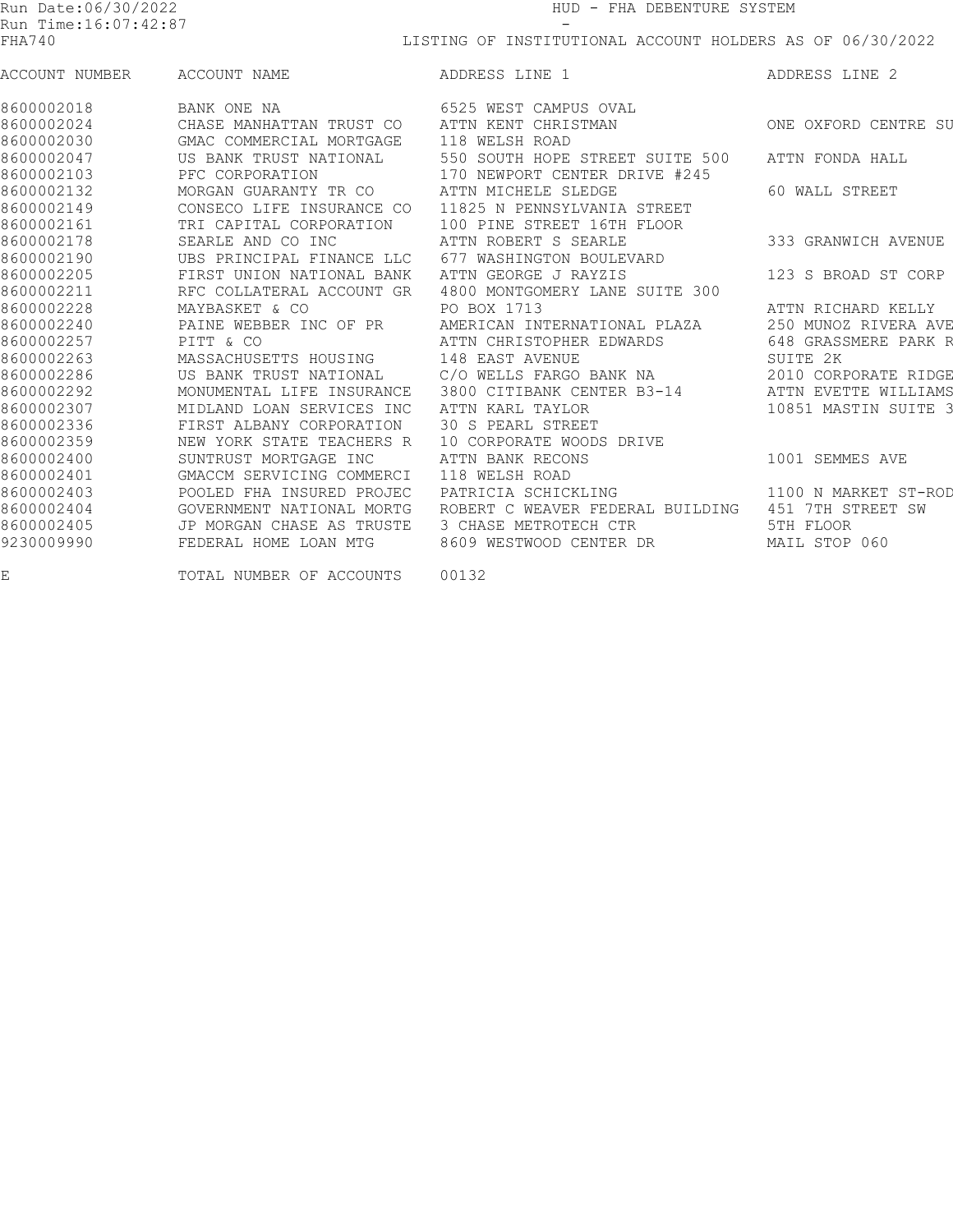| Run Date:06/30/2022<br>Run Time:16:07:42:87<br>FHA740 |                           | HUD - FHA DEBENTURE SYSTEM<br>LISTING OF INSTITUTIONAL ACCOUNT HOLDERS AS OF 06/30/2022 |                      |  |  |
|-------------------------------------------------------|---------------------------|-----------------------------------------------------------------------------------------|----------------------|--|--|
|                                                       |                           |                                                                                         |                      |  |  |
| 8600002018                                            | BANK ONE NA               | 6525 WEST CAMPUS OVAL                                                                   |                      |  |  |
| 8600002024                                            | CHASE MANHATTAN TRUST CO  | ATTN KENT CHRISTMAN                                                                     | ONE OXFORD CENTRE SU |  |  |
| 8600002030                                            | GMAC COMMERCIAL MORTGAGE  | 118 WELSH ROAD                                                                          |                      |  |  |
| 8600002047                                            | US BANK TRUST NATIONAL    | 550 SOUTH HOPE STREET SUITE 500                                                         | ATTN FONDA HALL      |  |  |
| 8600002103                                            | PFC CORPORATION           | 170 NEWPORT CENTER DRIVE #245                                                           |                      |  |  |
| 8600002132                                            | MORGAN GUARANTY TR CO     | ATTN MICHELE SLEDGE                                                                     | 60 WALL STREET       |  |  |
| 8600002149                                            | CONSECO LIFE INSURANCE CO | 11825 N PENNSYLVANIA STREET                                                             |                      |  |  |
| 8600002161                                            | TRI CAPITAL CORPORATION   | 100 PINE STREET 16TH FLOOR                                                              |                      |  |  |
| 8600002178                                            | SEARLE AND CO INC         | ATTN ROBERT S SEARLE                                                                    | 333 GRANWICH AVENUE  |  |  |
| 8600002190                                            | UBS PRINCIPAL FINANCE LLC | 677 WASHINGTON BOULEVARD                                                                |                      |  |  |
| 8600002205                                            | FIRST UNION NATIONAL BANK | ATTN GEORGE J RAYZIS                                                                    | 123 S BROAD ST CORP  |  |  |
| 8600002211                                            | RFC COLLATERAL ACCOUNT GR | 4800 MONTGOMERY LANE SUITE 300                                                          |                      |  |  |
| 8600002228                                            | MAYBASKET & CO            | PO BOX 1713                                                                             | ATTN RICHARD KELLY   |  |  |
| 8600002240                                            | PAINE WEBBER INC OF PR    | AMERICAN INTERNATIONAL PLAZA                                                            | 250 MUNOZ RIVERA AVE |  |  |
| 8600002257                                            | PITT & CO                 | ATTN CHRISTOPHER EDWARDS                                                                | 648 GRASSMERE PARK R |  |  |
| 8600002263                                            | MASSACHUSETTS HOUSING     | 148 EAST AVENUE                                                                         | SUITE 2K             |  |  |
| 8600002286                                            | US BANK TRUST NATIONAL    | C/O WELLS FARGO BANK NA                                                                 | 2010 CORPORATE RIDGE |  |  |
| 8600002292                                            | MONUMENTAL LIFE INSURANCE | 3800 CITIBANK CENTER B3-14                                                              | ATTN EVETTE WILLIAMS |  |  |
| 8600002307                                            | MIDLAND LOAN SERVICES INC | ATTN KARL TAYLOR                                                                        | 10851 MASTIN SUITE 3 |  |  |
| 8600002336                                            | FIRST ALBANY CORPORATION  | 30 S PEARL STREET                                                                       |                      |  |  |
| 8600002359                                            | NEW YORK STATE TEACHERS R | 10 CORPORATE WOODS DRIVE                                                                |                      |  |  |
| 8600002400                                            | SUNTRUST MORTGAGE INC     | ATTN BANK RECONS                                                                        | 1001 SEMMES AVE      |  |  |
| 8600002401                                            | GMACCM SERVICING COMMERCI | 118 WELSH ROAD                                                                          |                      |  |  |
| 8600002403                                            | POOLED FHA INSURED PROJEC | PATRICIA SCHICKLING                                                                     | 1100 N MARKET ST-ROD |  |  |
| 8600002404                                            | GOVERNMENT NATIONAL MORTG | ROBERT C WEAVER FEDERAL BUILDING                                                        | 451 7TH STREET SW    |  |  |
| 8600002405                                            | JP MORGAN CHASE AS TRUSTE | 3 CHASE METROTECH CTR                                                                   | 5TH FLOOR            |  |  |
| 9230009990                                            | FEDERAL HOME LOAN MTG     | 8609 WESTWOOD CENTER DR                                                                 | MAIL STOP 060        |  |  |
| E                                                     | TOTAL NUMBER OF ACCOUNTS  | 00132                                                                                   |                      |  |  |